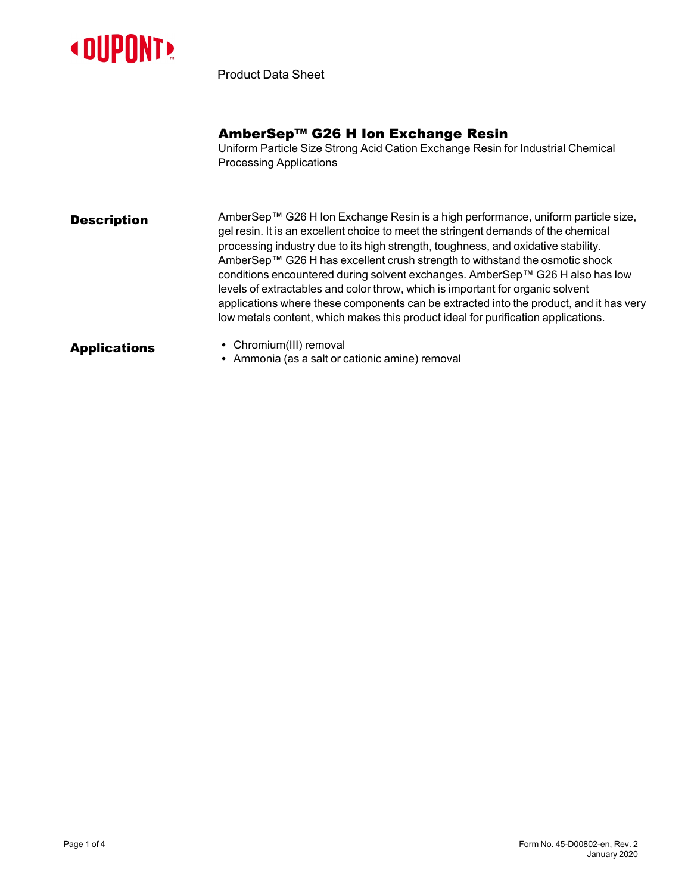

Product Data Sheet

### AmberSep™ G26 H Ion Exchange Resin

Uniform Particle Size Strong Acid Cation Exchange Resin for Industrial Chemical Processing Applications

**Description** AmberSep™ G26 H Ion Exchange Resin is a high performance, uniform particle size, gel resin. It is an excellent choice to meet the stringent demands of the chemical processing industry due to its high strength, toughness, and oxidative stability. AmberSep™ G26 H has excellent crush strength to withstand the osmotic shock conditions encountered during solvent exchanges. AmberSep™ G26 H also has low levels of extractables and color throw, which is important for organic solvent applications where these components can be extracted into the product, and it has very low metals content, which makes this product ideal for purification applications.

- Applications Chromium(III) removal
	- Ammonia (as a salt or cationic amine) removal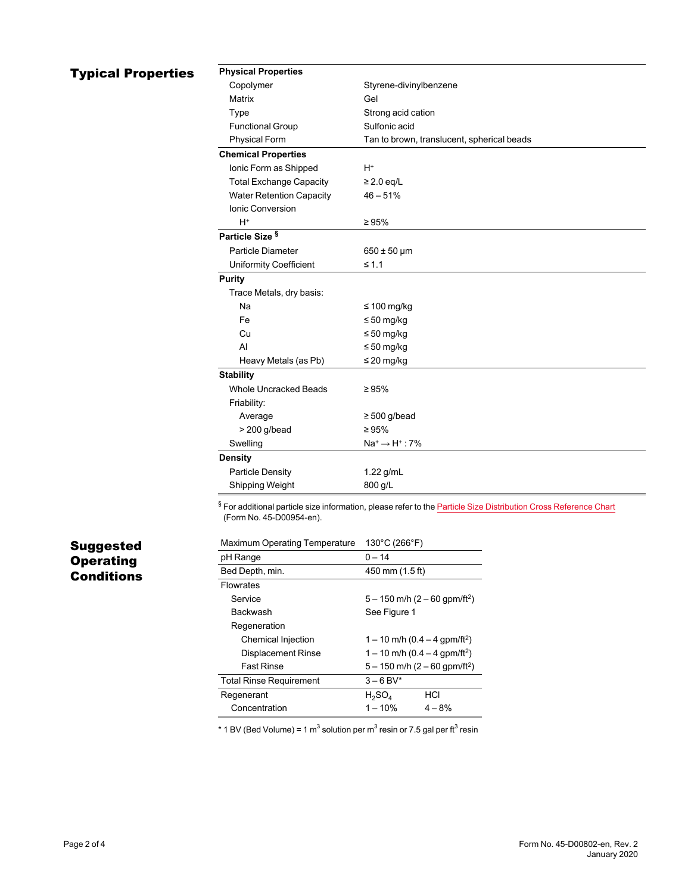### **Typical Properties**

| <b>Physical Properties</b>      |                                            |  |
|---------------------------------|--------------------------------------------|--|
| Copolymer                       | Styrene-divinylbenzene                     |  |
| Matrix                          | Gel                                        |  |
| Type                            | Strong acid cation                         |  |
| <b>Functional Group</b>         | Sulfonic acid                              |  |
| <b>Physical Form</b>            | Tan to brown, translucent, spherical beads |  |
| <b>Chemical Properties</b>      |                                            |  |
| Ionic Form as Shipped           | $H^*$                                      |  |
| <b>Total Exchange Capacity</b>  | $\geq$ 2.0 eq/L                            |  |
| <b>Water Retention Capacity</b> | $46 - 51%$                                 |  |
| <b>Ionic Conversion</b>         |                                            |  |
| $H^+$                           | $\geq 95\%$                                |  |
| Particle Size <sup>§</sup>      |                                            |  |
| Particle Diameter               | $650 \pm 50 \,\text{\mu m}$                |  |
| Uniformity Coefficient          | $\leq 1.1$                                 |  |
| <b>Purity</b>                   |                                            |  |
| Trace Metals, dry basis:        |                                            |  |
| Na                              | $\leq 100$ mg/kg                           |  |
| Fe                              | $\leq 50$ mg/kg                            |  |
| Cu                              | $\leq 50$ mg/kg                            |  |
| AI                              | $\leq 50$ mg/kg                            |  |
| Heavy Metals (as Pb)            | $\leq$ 20 mg/kg                            |  |
| <b>Stability</b>                |                                            |  |
| <b>Whole Uncracked Beads</b>    | $\geq 95\%$                                |  |
| Friability:                     |                                            |  |
| Average                         | $\geq$ 500 g/bead                          |  |
| $> 200$ g/bead                  | $\geq 95\%$                                |  |
| Swelling                        | $Na^+ \rightarrow H^+$ : 7%                |  |
| <b>Density</b>                  |                                            |  |
| Particle Density                | $1.22$ g/mL                                |  |
| Shipping Weight                 | 800 g/L                                    |  |

§ For additional particle size information, please refer to the **Particle Size [Distribution](https://www.dupont.com/content/dam/dupont/amer/us/en/water-solutions/public/documents/en/45-D00954-en.pdf) Cross Reference Chart** (Form No. 45-D00954-en).

# Suggested Operating **Conditions**

| <b>Maximum Operating Temperature</b> | $130^{\circ}$ C (266 $^{\circ}$ F)            |          |
|--------------------------------------|-----------------------------------------------|----------|
| pH Range                             | $0 - 14$                                      |          |
| Bed Depth, min.                      | 450 mm (1.5 ft)                               |          |
| <b>Flowrates</b>                     |                                               |          |
| Service                              | $5 - 150$ m/h $(2 - 60$ gpm/ft <sup>2</sup> ) |          |
| Backwash                             | See Figure 1                                  |          |
| Regeneration                         |                                               |          |
| Chemical Injection                   | 1 – 10 m/h (0.4 – 4 gpm/ft <sup>2</sup> )     |          |
| <b>Displacement Rinse</b>            | $1 - 10$ m/h (0.4 – 4 gpm/ft <sup>2</sup> )   |          |
| <b>Fast Rinse</b>                    | $5 - 150$ m/h $(2 - 60$ gpm/ft <sup>2</sup> ) |          |
| <b>Total Rinse Requirement</b>       | $3 - 6$ BV*                                   |          |
| Regenerant                           | $H_2SO_4$                                     | HCI      |
| Concentration                        | $1 - 10%$                                     | $4 - 8%$ |

 $^*$  1 BV (Bed Volume) = 1 m $^3$  solution per m $^3$  resin or 7.5 gal per ft $^3$  resin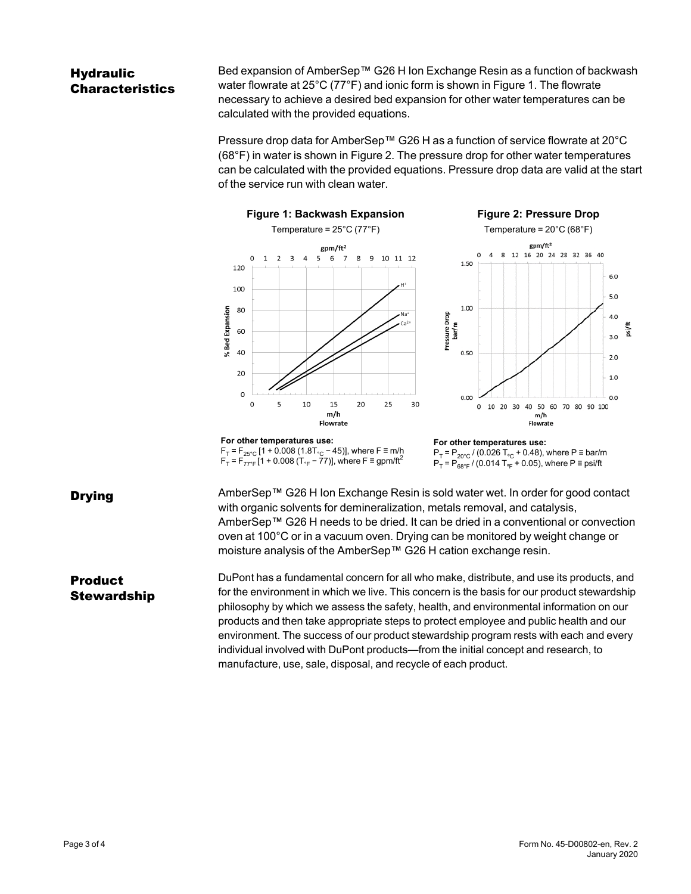## **Hydraulic** Characteristics

Bed expansion of AmberSep™ G26 H Ion Exchange Resin as a function of backwash water flowrate at 25°C (77°F) and ionic form is shown in [Figure 1](#page-2-0). The flowrate necessary to achieve a desired bed expansion for other water temperatures can be calculated with the provided equations.

<span id="page-2-1"></span>Pressure drop data for AmberSep™ G26 H as a function of service flowrate at 20°C (68°F) in water is shown in [Figure 2.](#page-2-1) The pressure drop for other water temperatures can be calculated with the provided equations. Pressure drop data are valid at the start of the service run with clean water.

<span id="page-2-0"></span>

Drying **District** AmberSep™ G26 H Ion Exchange Resin is sold water wet. In order for good contact with organic solvents for demineralization, metals removal, and catalysis, AmberSep™ G26 H needs to be dried. It can be dried in a conventional or convection oven at 100°C or in a vacuum oven. Drying can be monitored by weight change or moisture analysis of the AmberSep™ G26 H cation exchange resin.

### **Product Stewardship**

DuPont has a fundamental concern for all who make, distribute, and use its products, and for the environment in which we live. This concern is the basis for our product stewardship philosophy by which we assess the safety, health, and environmental information on our products and then take appropriate steps to protect employee and public health and our environment. The success of our product stewardship program rests with each and every individual involved with DuPont products—from the initial concept and research, to manufacture, use, sale, disposal, and recycle of each product.